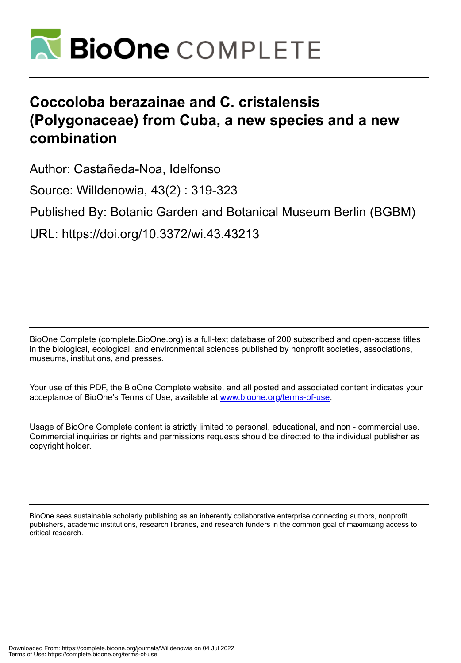

# **Coccoloba berazainae and C. cristalensis (Polygonaceae) from Cuba, a new species and a new combination**

Author: Castañeda-Noa, Idelfonso

Source: Willdenowia, 43(2) : 319-323

Published By: Botanic Garden and Botanical Museum Berlin (BGBM)

URL: https://doi.org/10.3372/wi.43.43213

BioOne Complete (complete.BioOne.org) is a full-text database of 200 subscribed and open-access titles in the biological, ecological, and environmental sciences published by nonprofit societies, associations, museums, institutions, and presses.

Your use of this PDF, the BioOne Complete website, and all posted and associated content indicates your acceptance of BioOne's Terms of Use, available at www.bioone.org/terms-of-use.

Usage of BioOne Complete content is strictly limited to personal, educational, and non - commercial use. Commercial inquiries or rights and permissions requests should be directed to the individual publisher as copyright holder.

BioOne sees sustainable scholarly publishing as an inherently collaborative enterprise connecting authors, nonprofit publishers, academic institutions, research libraries, and research funders in the common goal of maximizing access to critical research.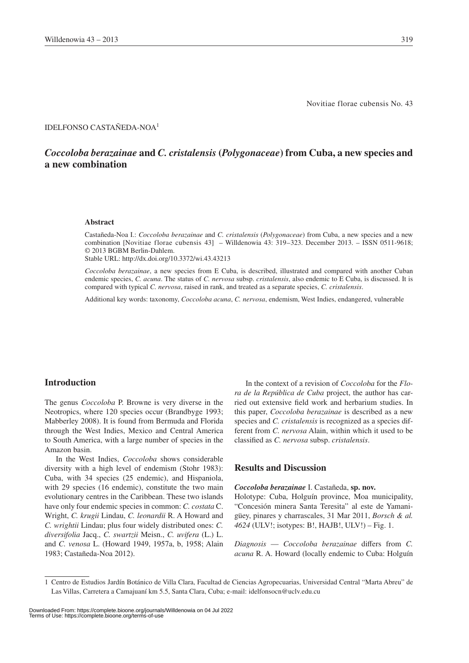Novitiae florae cubensis No. 43

#### IDELFONSO CASTAÑEDA-NOA1

# *Coccoloba berazainae* **and** *C. cristalensis* **(***Polygonaceae***) from Cuba, a new species and a new combination**

#### **Abstract**

Castañeda-Noa I.: *Coccoloba berazainae* and *C. cristalensis* (*Polygonaceae*) from Cuba, a new species and a new combination [Novitiae florae cubensis 43] – Willdenowia 43: 319–323. December 2013. – ISSN 0511-9618; © 2013 BGBM Berlin-Dahlem.

Stable URL: http://dx.doi.org/10.3372/wi.43.43213

*Coccoloba berazainae*, a new species from E Cuba, is described, illustrated and compared with another Cuban endemic species, *C. acuna*. The status of *C. nervosa* subsp. *cristalensis*, also endemic to E Cuba, is discussed. It is compared with typical *C. nervosa*, raised in rank, and treated as a separate species, *C. cristalensis*.

Additional key words: taxonomy, *Coccoloba acuna*, *C. nervosa*, endemism, West Indies, endangered, vulnerable

## **Introduction**

The genus *Coccoloba* P. Browne is very diverse in the Neotropics, where 120 species occur (Brandbyge 1993; Mabberley 2008). It is found from Bermuda and Florida through the West Indies, Mexico and Central America to South America, with a large number of species in the Amazon basin.

In the West Indies, *Coccoloba* shows considerable diversity with a high level of endemism (Stohr 1983): Cuba, with 34 species (25 endemic), and Hispaniola, with 29 species (16 endemic), constitute the two main evolutionary centres in the Caribbean. These two islands have only four endemic species in common: *C. costata* C. Wright, *C. krugii* Lindau, *C. leonardii* R. A Howard and *C. wrightii* Lindau; plus four widely distributed ones: *C. diversifolia* Jacq., *C. swartzii* Meisn., *C. uvifera* (L.) L. and *C. venosa* L. (Howard 1949, 1957a, b, 1958; Alain 1983; Castañeda-Noa 2012).

In the context of a revision of *Coccoloba* for the *Flora de la República de Cuba* project, the author has carried out extensive field work and herbarium studies. In this paper, *Coccoloba berazainae* is described as a new species and *C. cristalensis* is recognized as a species different from *C. nervosa* Alain, within which it used to be classified as *C. nervosa* subsp. *cristalensis*.

# **Results and Discussion**

#### *Coccoloba berazainae* I. Castañeda, **sp. nov.**

Holotype: Cuba, Holguín province, Moa municipality, "Concesión minera Santa Teresita" al este de Yamanigüey, pinares y charrascales, 31 Mar 2011, *Borsch & al. 4624* (ULV!; isotypes: B!, HAJB!, ULV!) – Fig. 1.

*Diagnosis* — *Coccoloba berazainae* differs from *C. acuna* R. A. Howard (locally endemic to Cuba: Holguín

<sup>1</sup> Centro de Estudios Jardín Botánico de Villa Clara, Facultad de Ciencias Agropecuarias, Universidad Central "Marta Abreu" de Las Villas, Carretera a Camajuaní km 5.5, Santa Clara, Cuba; e-mail: idelfonsocn@uclv.edu.cu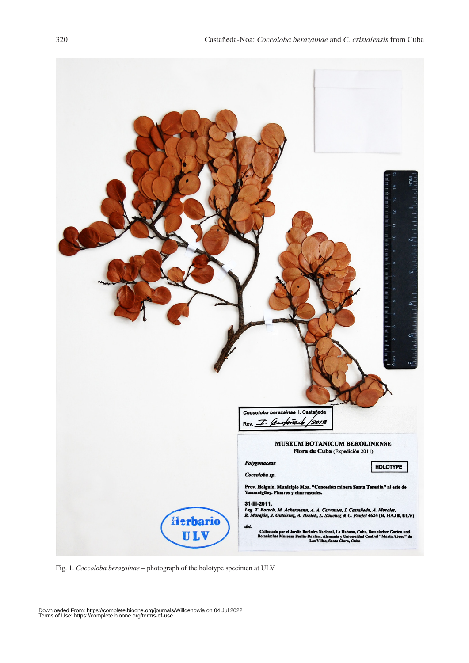

Fig. 1. *Coccoloba berazainae* – photograph of the holotype specimen at ULV.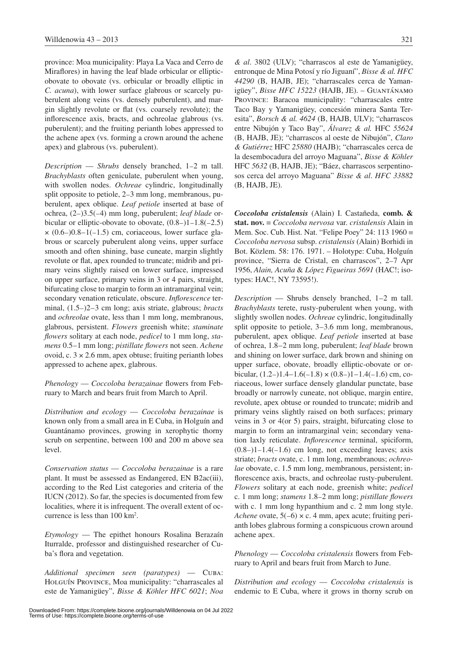province: Moa municipality: Playa La Vaca and Cerro de Miraflores) in having the leaf blade orbicular or ellipticobovate to obovate (vs. orbicular or broadly elliptic in *C. acuna*), with lower surface glabrous or scarcely puberulent along veins (vs. densely puberulent), and margin slightly revolute or flat (vs. coarsely revolute); the inflorescence axis, bracts, and ochreolae glabrous (vs. puberulent); and the fruiting perianth lobes appressed to the achene apex (vs. forming a crown around the achene apex) and glabrous (vs. puberulent).

*Description* — *Shrubs* densely branched, 1–2 m tall. *Brachyblasts* often geniculate, puberulent when young, with swollen nodes. *Ochreae* cylindric, longitudinally split opposite to petiole, 2–3 mm long, membranous, puberulent, apex oblique. *Leaf petiole* inserted at base of ochrea, (2–)3.5(–4) mm long, puberulent; *leaf blade* orbicular or elliptic-obovate to obovate,  $(0.8-1)1-1.8(-2.5)$  $\times$  (0.6–)0.8–1(–1.5) cm, coriaceous, lower surface glabrous or scarcely puberulent along veins, upper surface smooth and often shining, base cuneate, margin slightly revolute or flat, apex rounded to truncate; midrib and primary veins slightly raised on lower surface, impressed on upper surface, primary veins in 3 or 4 pairs, straight, bifurcating close to margin to form an intramarginal vein; secondary venation reticulate, obscure. *Inflorescence* terminal, (1.5–)2–3 cm long; axis striate, glabrous; *bracts* and *ochreolae* ovate, less than 1 mm long, membranous, glabrous, persistent. *Flowers* greenish white; *staminate flowers* solitary at each node, *pedicel* to 1 mm long, *stamens* 0.5–1 mm long; *pistillate flowers* not seen. *Achene* ovoid, c.  $3 \times 2.6$  mm, apex obtuse; fruiting perianth lobes appressed to achene apex, glabrous.

*Phenology* — *Coccoloba berazainae* flowers from February to March and bears fruit from March to April.

*Distribution and ecology* — *Coccoloba berazainae* is known only from a small area in E Cuba, in Holguín and Guantánamo provinces, growing in xerophytic thorny scrub on serpentine, between 100 and 200 m above sea level.

*Conservation status* — *Coccoloba berazainae* is a rare plant. It must be assessed as Endangered, EN B2ac(iii), according to the Red List categories and criteria of the IUCN (2012). So far, the species is documented from few localities, where it is infrequent. The overall extent of occurrence is less than 100 km2 .

*Etymology* — The epithet honours Rosalina Berazaín Iturralde, professor and distinguished researcher of Cuba's flora and vegetation.

*Additional specimen seen (paratypes)* — Cuba: Holguín Province, Moa municipality: "charrascales al este de Yamanigüey", *Bisse & Köhler HFC 6021*; *Noa* 

*& al*. 3802 (ULV); "charrascos al este de Yamanigüey, entronque de Mina Potosí y río Jiguaní", *Bisse & al. HFC 44290* (B, HAJB, JE); "charrascales cerca de Yamanigüey", *Bisse HFC 15223* (HAJB, JE). – Guantánamo Province: Baracoa municipality: "charrascales entre Taco Bay y Yamanigüey, concesión minera Santa Teresita", *Borsch & al. 4624* (B, HAJB, ULV); "charrascos entre Nibujón y Taco Bay", *Álvarez & al.* HFC *55624* (B, HAJB, JE); "charrascos al oeste de Nibujón", *Claro & Gutiérrez* HFC *25880* (HAJB); "charrascales cerca de la desembocadura del arroyo Maguana", *Bisse & Köhler* HFC *5632* (B, HAJB, JE); "Báez, charrascos serpentinosos cerca del arroyo Maguana" *Bisse & al*. *HFC 33882*  (B, HAJB, JE).

*Coccoloba cristalensis* (Alain) I. Castañeda, **comb. & stat. nov.** ≡ *Coccoloba nervosa* var. *cristalensis* Alain in Mem. Soc. Cub. Hist. Nat. "Felipe Poey" 24: 113 1960 ≡ *Coccoloba nervosa* subsp. *cristalensis* (Alain) Borhidi in Bot. Közlem. 58: 176. 1971. – Holotype: Cuba, Holguín province, "Sierra de Cristal, en charrascos", 2–7 Apr 1956, *Alain, Acuña* & *López Figueiras 5691* (HAC!; isotypes: HAC!, NY 73595!).

*Description* — Shrubs densely branched, 1–2 m tall. *Brachyblasts* terete, rusty-puberulent when young, with slightly swollen nodes. *Ochreae* cylindric, longitudinally split opposite to petiole, 3–3.6 mm long, membranous, puberulent, apex oblique. *Leaf petiole* inserted at base of ochrea, 1.8–2 mm long, puberulent; *leaf blade* brown and shining on lower surface, dark brown and shining on upper surface, obovate, broadly elliptic-obovate or orbicular,  $(1.2-)1.4-1.6(-1.8) \times (0.8-)1-1.4(-1.6)$  cm, coriaceous, lower surface densely glandular punctate, base broadly or narrowly cuneate, not oblique, margin entire, revolute, apex obtuse or rounded to truncate; midrib and primary veins slightly raised on both surfaces; primary veins in 3 or 4(or 5) pairs, straight, bifurcating close to margin to form an intramarginal vein; secondary venation laxly reticulate. *Inflorescence* terminal, spiciform,  $(0.8-11-1.4(-1.6)$  cm long, not exceeding leaves; axis striate; *bracts* ovate, c. 1 mm long, membranous; *ochreolae* obovate, c. 1.5 mm long, membranous, persistent; inflorescence axis, bracts, and ochreolae rusty-puberulent. *Flowers* solitary at each node, greenish white; *pedicel* c. 1 mm long; *stamens* 1.8–2 mm long; *pistillate flowers* with c. 1 mm long hypanthium and c. 2 mm long style. *Achene* ovate, 5(–6) × c. 4 mm, apex acute; fruiting perianth lobes glabrous forming a conspicuous crown around achene apex.

*Phenology* — *Coccoloba cristalensis* flowers from February to April and bears fruit from March to June.

*Distribution and ecology* — *Coccoloba cristalensis* is endemic to E Cuba, where it grows in thorny scrub on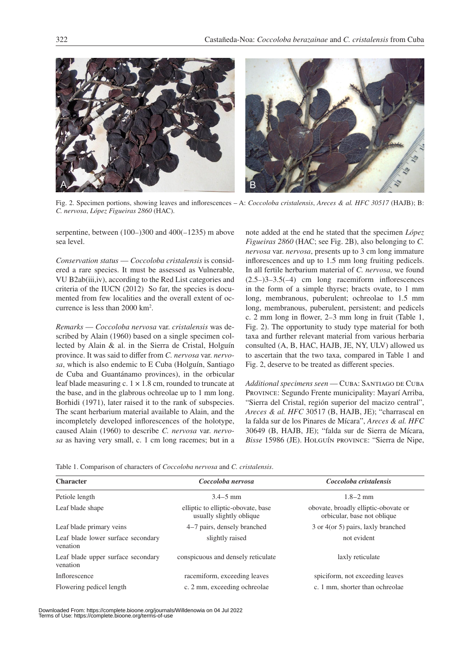

Fig. 2. Specimen portions, showing leaves and inflorescences – A: *Coccoloba cristalensis*, *Areces & al. HFC 30517* (HAJB); B: *C. nervosa*, *López Figueiras 2860* (HAC).

serpentine, between (100–)300 and 400(–1235) m above sea level.

*Conservation status* — *Coccoloba cristalensis* is considered a rare species. It must be assessed as Vulnerable, VU B2ab(iii,iv), according to the Red List categories and criteria of the IUCN (2012) So far, the species is documented from few localities and the overall extent of occurrence is less than 2000 km2 .

*Remarks* — *Coccoloba nervosa* var. *cristalensis* was described by Alain (1960) based on a single specimen collected by Alain & al. in the Sierra de Cristal, Holguín province. It was said to differ from *C. nervosa* var. *nervosa*, which is also endemic to E Cuba (Holguín, Santiago de Cuba and Guantánamo provinces), in the orbicular leaf blade measuring c.  $1 \times 1.8$  cm, rounded to truncate at the base, and in the glabrous ochreolae up to 1 mm long. Borhidi (1971), later raised it to the rank of subspecies. The scant herbarium material available to Alain, and the incompletely developed inflorescences of the holotype, caused Alain (1960) to describe *C. nervosa* var. *nervosa* as having very small, c. 1 cm long racemes; but in a note added at the end he stated that the specimen *López Figueiras 2860* (HAC; see Fig. 2B), also belonging to *C. nervosa* var. *nervosa*, presents up to 3 cm long immature inflorescences and up to 1.5 mm long fruiting pedicels. In all fertile herbarium material of *C. nervosa*, we found  $(2.5-)3-3.5(-4)$  cm long racemiform inflorescences in the form of a simple thyrse; bracts ovate, to 1 mm long, membranous, puberulent; ochreolae to 1.5 mm long, membranous, puberulent, persistent; and pedicels c. 2 mm long in flower, 2–3 mm long in fruit (Table 1, Fig. 2). The opportunity to study type material for both taxa and further relevant material from various herbaria consulted (A, B, HAC, HAJB, JE, NY, ULV) allowed us to ascertain that the two taxa, compared in Table 1 and Fig. 2, deserve to be treated as different species.

*Additional specimens seen* — Cuba: Santiago de Cuba Province: Segundo Frente municipality: Mayarí Arriba, "Sierra del Cristal, región superior del macizo central", *Areces & al. HFC* 30517 (B, HAJB, JE); "charrascal en la falda sur de los Pinares de Mícara", *Areces & al. HFC*  30649 (B, HAJB, JE); "falda sur de Sierra de Mícara, *Bisse* 15986 (JE). Holguín province: "Sierra de Nipe,

Table 1. Comparison of characters of *Coccoloba nervosa* and *C. cristalensis*.

| <b>Character</b>                               | Coccoloba nervosa                                              | Coccoloba cristalensis                                              |
|------------------------------------------------|----------------------------------------------------------------|---------------------------------------------------------------------|
| Petiole length                                 | $3.4 - 5$ mm                                                   | $1.8 - 2$ mm                                                        |
| Leaf blade shape                               | elliptic to elliptic-obovate, base<br>usually slightly oblique | obovate, broadly elliptic-obovate or<br>orbicular, base not oblique |
| Leaf blade primary veins                       | 4–7 pairs, densely branched                                    | 3 or 4(or 5) pairs, laxly branched                                  |
| Leaf blade lower surface secondary<br>venation | slightly raised                                                | not evident                                                         |
| Leaf blade upper surface secondary<br>venation | conspicuous and densely reticulate                             | laxly reticulate                                                    |
| Inflorescence                                  | racemiform, exceeding leaves                                   | spiciform, not exceeding leaves                                     |
| Flowering pedicel length                       | c. 2 mm, exceeding ochreolae.                                  | c. 1 mm, shorter than ochreolae                                     |

Downloaded From: https://complete.bioone.org/journals/Willdenowia on 04 Jul 2022 Terms of Use: https://complete.bioone.org/terms-of-use